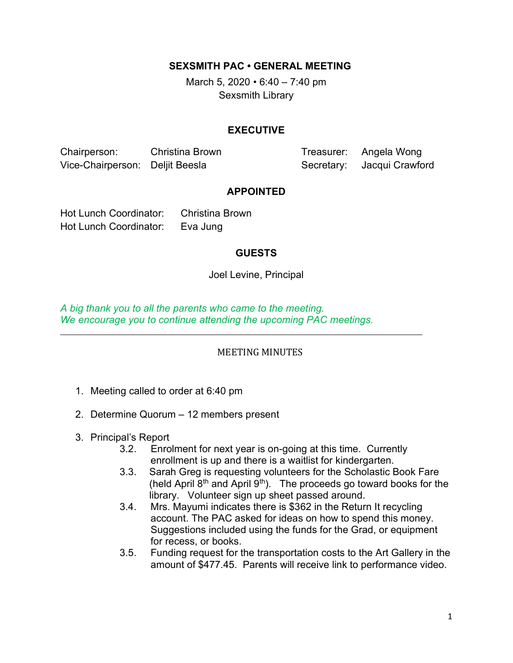SEXSMITH PAC • GENERAL MEETING

March 5, 2020  $\cdot$  6:40 – 7:40 pm Sexsmith Library

### EXECUTIVE

Chairperson: Christina Brown Treasurer: Angela Wong Vice-Chairperson: Deljit Beesla Secretary: Jacqui Crawford

#### APPOINTED

Hot Lunch Coordinator: Christina Brown Hot Lunch Coordinator: Eva Jung

**GUESTS** 

Joel Levine, Principal

A big thank you to all the parents who came to the meeting. We encourage you to continue attending the upcoming PAC meetings.

#### MEETING MINUTES

- 1. Meeting called to order at 6:40 pm
- 2. Determine Quorum 12 members present
- 3. Principal's Report

 $\overline{a}$ 

- 3.2. Enrolment for next year is on-going at this time. Currently enrollment is up and there is a waitlist for kindergarten.
- 3.3. Sarah Greg is requesting volunteers for the Scholastic Book Fare (held April  $8<sup>th</sup>$  and April  $9<sup>th</sup>$ ). The proceeds go toward books for the library. Volunteer sign up sheet passed around.
- 3.4. Mrs. Mayumi indicates there is \$362 in the Return It recycling account. The PAC asked for ideas on how to spend this money. Suggestions included using the funds for the Grad, or equipment for recess, or books.
- 3.5. Funding request for the transportation costs to the Art Gallery in the amount of \$477.45. Parents will receive link to performance video.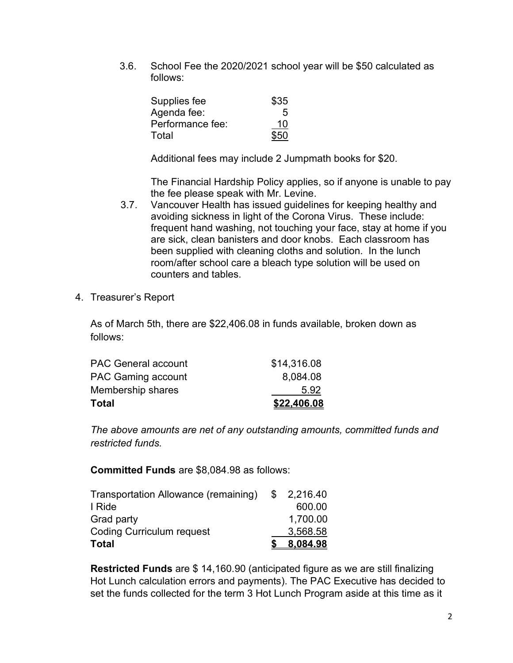3.6. School Fee the 2020/2021 school year will be \$50 calculated as follows:

| Supplies fee     | \$35 |
|------------------|------|
| Agenda fee:      | 5    |
| Performance fee: | 10   |
| Total            | \$50 |

Additional fees may include 2 Jumpmath books for \$20.

The Financial Hardship Policy applies, so if anyone is unable to pay the fee please speak with Mr. Levine.

- 3.7. Vancouver Health has issued guidelines for keeping healthy and avoiding sickness in light of the Corona Virus. These include: frequent hand washing, not touching your face, stay at home if you are sick, clean banisters and door knobs. Each classroom has been supplied with cleaning cloths and solution. In the lunch room/after school care a bleach type solution will be used on counters and tables.
- 4. Treasurer's Report

As of March 5th, there are \$22,406.08 in funds available, broken down as follows:

| Total                      | \$22,406.08 |
|----------------------------|-------------|
| Membership shares          | 5.92        |
| <b>PAC Gaming account</b>  | 8,084.08    |
| <b>PAC General account</b> | \$14,316.08 |

The above amounts are net of any outstanding amounts, committed funds and restricted funds.

Committed Funds are \$8,084.98 as follows:

| Transportation Allowance (remaining) | \$2,216.40 |
|--------------------------------------|------------|
| I Ride                               | 600.00     |
| Grad party                           | 1,700.00   |
| <b>Coding Curriculum request</b>     | 3,568.58   |
| <b>Total</b>                         | 8,084.98   |

Restricted Funds are \$ 14,160.90 (anticipated figure as we are still finalizing Hot Lunch calculation errors and payments). The PAC Executive has decided to set the funds collected for the term 3 Hot Lunch Program aside at this time as it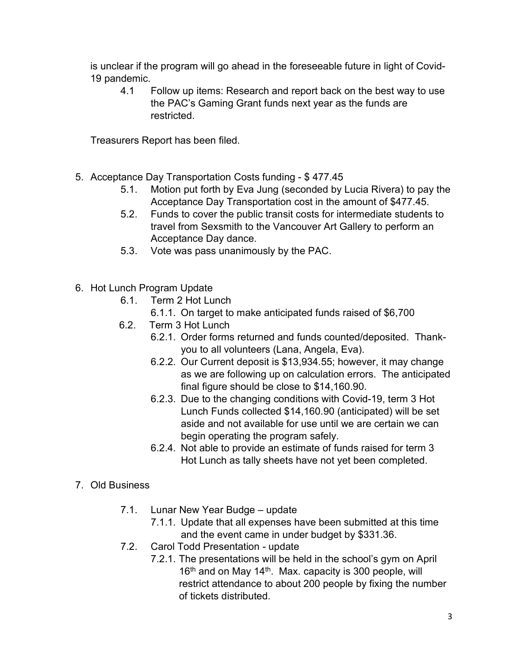is unclear if the program will go ahead in the foreseeable future in light of Covid-19 pandemic.

4.1 Follow up items: Research and report back on the best way to use the PAC's Gaming Grant funds next year as the funds are restricted.

Treasurers Report has been filed.

- 5. Acceptance Day Transportation Costs funding \$ 477.45
	- 5.1. Motion put forth by Eva Jung (seconded by Lucia Rivera) to pay the Acceptance Day Transportation cost in the amount of \$477.45.
	- 5.2. Funds to cover the public transit costs for intermediate students to travel from Sexsmith to the Vancouver Art Gallery to perform an Acceptance Day dance.
	- 5.3. Vote was pass unanimously by the PAC.
- 6. Hot Lunch Program Update
	- 6.1. Term 2 Hot Lunch
		- 6.1.1. On target to make anticipated funds raised of \$6,700
	- 6.2. Term 3 Hot Lunch
		- 6.2.1. Order forms returned and funds counted/deposited. Thankyou to all volunteers (Lana, Angela, Eva).
		- 6.2.2. Our Current deposit is \$13,934.55; however, it may change as we are following up on calculation errors. The anticipated final figure should be close to \$14,160.90.
		- 6.2.3. Due to the changing conditions with Covid-19, term 3 Hot Lunch Funds collected \$14,160.90 (anticipated) will be set aside and not available for use until we are certain we can begin operating the program safely.
		- 6.2.4. Not able to provide an estimate of funds raised for term 3 Hot Lunch as tally sheets have not yet been completed.

# 7. Old Business

- 7.1. Lunar New Year Budge update
	- 7.1.1. Update that all expenses have been submitted at this time and the event came in under budget by \$331.36.
- 7.2. Carol Todd Presentation update
	- 7.2.1. The presentations will be held in the school's gym on April 16<sup>th</sup> and on May 14<sup>th</sup>. Max. capacity is 300 people, will restrict attendance to about 200 people by fixing the number of tickets distributed.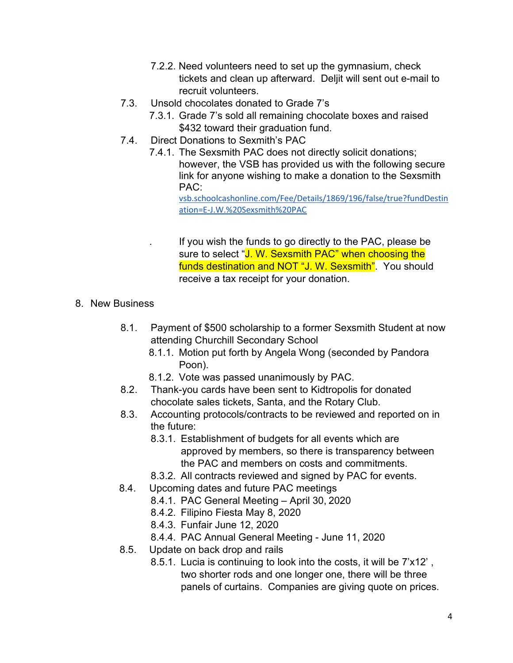- 7.2.2. Need volunteers need to set up the gymnasium, check tickets and clean up afterward. Deljit will sent out e-mail to recruit volunteers.
- 7.3. Unsold chocolates donated to Grade 7's
	- 7.3.1. Grade 7's sold all remaining chocolate boxes and raised \$432 toward their graduation fund.
- 7.4. Direct Donations to Sexmith's PAC
	- 7.4.1. The Sexsmith PAC does not directly solicit donations; however, the VSB has provided us with the following secure link for anyone wishing to make a donation to the Sexsmith PAC:

vsb.schoolcashonline.com/Fee/Details/1869/196/false/true?fundDestin ation=E-J.W.%20Sexsmith%20PAC

. If you wish the funds to go directly to the PAC, please be sure to select "J. W. Sexsmith PAC" when choosing the funds destination and NOT "J. W. Sexsmith". You should receive a tax receipt for your donation.

## 8. New Business

- 8.1. Payment of \$500 scholarship to a former Sexsmith Student at now attending Churchill Secondary School
	- 8.1.1. Motion put forth by Angela Wong (seconded by Pandora Poon).
	- 8.1.2. Vote was passed unanimously by PAC.
- 8.2. Thank-you cards have been sent to Kidtropolis for donated chocolate sales tickets, Santa, and the Rotary Club.
- 8.3. Accounting protocols/contracts to be reviewed and reported on in the future:
	- 8.3.1. Establishment of budgets for all events which are approved by members, so there is transparency between the PAC and members on costs and commitments.
	- 8.3.2. All contracts reviewed and signed by PAC for events.
- 8.4. Upcoming dates and future PAC meetings
	- 8.4.1. PAC General Meeting April 30, 2020
	- 8.4.2. Filipino Fiesta May 8, 2020
	- 8.4.3. Funfair June 12, 2020
	- 8.4.4. PAC Annual General Meeting June 11, 2020
- 8.5. Update on back drop and rails
	- 8.5.1. Lucia is continuing to look into the costs, it will be 7'x12' , two shorter rods and one longer one, there will be three panels of curtains. Companies are giving quote on prices.